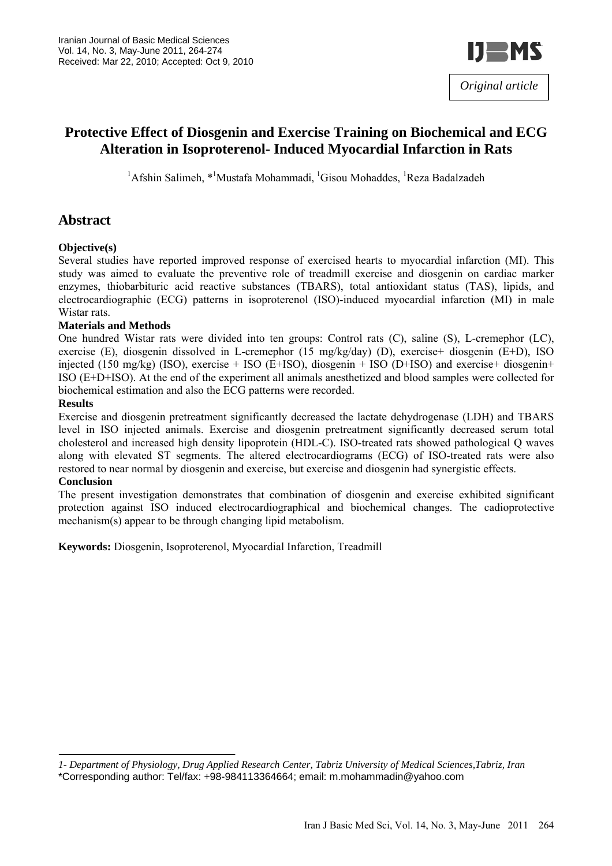

# **Protective Effect of Diosgenin and Exercise Training on Biochemical and ECG Alteration in Isoproterenol- Induced Myocardial Infarction in Rats**

<sup>1</sup>Afshin Salimeh, \*<sup>1</sup>Mustafa Mohammadi, <sup>1</sup>Gisou Mohaddes, <sup>1</sup>Reza Badalzadeh

# **Abstract**

#### **Objective(s)**

Several studies have reported improved response of exercised hearts to myocardial infarction (MI). This study was aimed to evaluate the preventive role of treadmill exercise and diosgenin on cardiac marker enzymes, thiobarbituric acid reactive substances (TBARS), total antioxidant status (TAS), lipids, and electrocardiographic (ECG) patterns in isoproterenol (ISO)-induced myocardial infarction (MI) in male Wistar rats.

#### **Materials and Methods**

One hundred Wistar rats were divided into ten groups: Control rats (C), saline (S), L-cremephor (LC), exercise (E), diosgenin dissolved in L-cremephor (15 mg/kg/day) (D), exercise+ diosgenin (E+D), ISO injected (150 mg/kg) (ISO), exercise + ISO (E+ISO), diosgenin + ISO (D+ISO) and exercise+ diosgenin+ ISO (E+D+ISO). At the end of the experiment all animals anesthetized and blood samples were collected for biochemical estimation and also the ECG patterns were recorded.

#### **Results**

Exercise and diosgenin pretreatment significantly decreased the lactate dehydrogenase (LDH) and TBARS level in ISO injected animals. Exercise and diosgenin pretreatment significantly decreased serum total cholesterol and increased high density lipoprotein (HDL-C). ISO-treated rats showed pathological Q waves along with elevated ST segments. The altered electrocardiograms (ECG) of ISO-treated rats were also restored to near normal by diosgenin and exercise, but exercise and diosgenin had synergistic effects.

#### **Conclusion**

The present investigation demonstrates that combination of diosgenin and exercise exhibited significant protection against ISO induced electrocardiographical and biochemical changes. The cadioprotective mechanism(s) appear to be through changing lipid metabolism.

**Keywords:** Diosgenin, Isoproterenol, Myocardial Infarction, Treadmill

*<sup>1-</sup> Department of Physiology, Drug Applied Research Center, Tabriz University of Medical Sciences,Tabriz, Iran* \*Corresponding author: Tel/fax: +98-984113364664; email: m.mohammadin@yahoo.com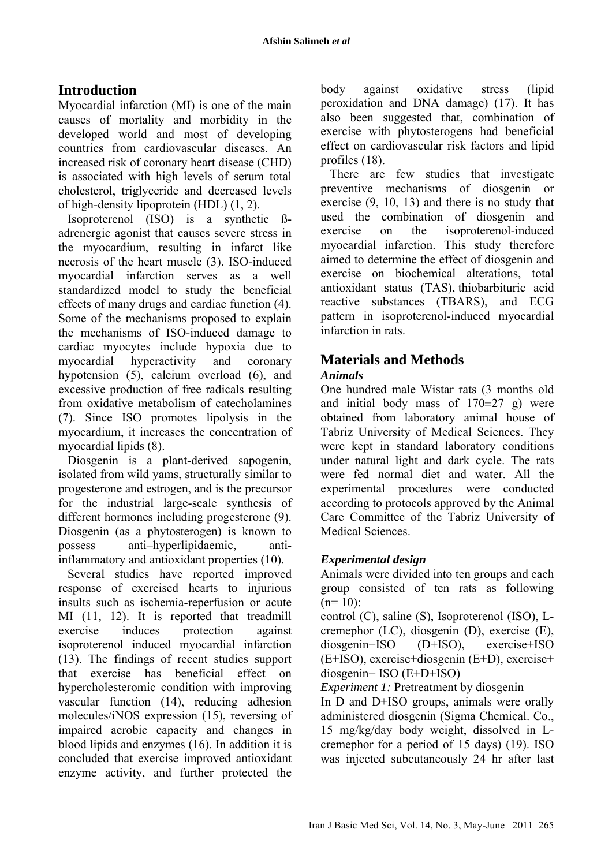# **Introduction**

Myocardial infarction (MI) is one of the main causes of mortality and morbidity in the developed world and most of developing countries from cardiovascular diseases. An increased risk of coronary heart disease (CHD) is associated with high levels of serum total cholesterol, triglyceride and decreased levels of high-density lipoprotein (HDL) (1, 2).

Isoproterenol (ISO) is a synthetic ßadrenergic agonist that causes severe stress in the myocardium, resulting in infarct like necrosis of the heart muscle (3). ISO-induced myocardial infarction serves as a well standardized model to study the beneficial effects of many drugs and cardiac function (4). Some of the mechanisms proposed to explain the mechanisms of ISO-induced damage to cardiac myocytes include hypoxia due to myocardial hyperactivity and coronary hypotension (5), calcium overload (6), and excessive production of free radicals resulting from oxidative metabolism of catecholamines (7). Since ISO promotes lipolysis in the myocardium, it increases the concentration of myocardial lipids (8).

Diosgenin is a plant-derived sapogenin, isolated from wild yams, structurally similar to progesterone and estrogen, and is the precursor for the industrial large-scale synthesis of different hormones including progesterone (9). Diosgenin (as a phytosterogen) is known to possess anti–hyperlipidaemic, antiinflammatory and antioxidant properties (10).

Several studies have reported improved response of exercised hearts to injurious insults such as ischemia-reperfusion or acute MI (11, 12). It is reported that treadmill exercise induces protection against isoproterenol induced myocardial infarction (13). The findings of recent studies support that exercise has beneficial effect on hypercholesteromic condition with improving vascular function (14), reducing adhesion molecules/iNOS expression (15), reversing of impaired aerobic capacity and changes in blood lipids and enzymes (16). In addition it is concluded that exercise improved antioxidant enzyme activity, and further protected the body against oxidative stress (lipid peroxidation and DNA damage) (17). It has also been suggested that, combination of exercise with phytosterogens had beneficial effect on cardiovascular risk factors and lipid profiles (18).

There are few studies that investigate preventive mechanisms of diosgenin or exercise (9, 10, 13) and there is no study that used the combination of diosgenin and exercise on the isoproterenol-induced myocardial infarction. This study therefore aimed to determine the effect of diosgenin and exercise on biochemical alterations, total antioxidant status (TAS), thiobarbituric acid reactive substances (TBARS), and ECG pattern in isoproterenol-induced myocardial infarction in rats.

# **Materials and Methods**

## *Animals*

One hundred male Wistar rats (3 months old and initial body mass of  $170\pm27$  g) were obtained from laboratory animal house of Tabriz University of Medical Sciences. They were kept in standard laboratory conditions under natural light and dark cycle. The rats were fed normal diet and water. All the experimental procedures were conducted according to protocols approved by the Animal Care Committee of the Tabriz University of Medical Sciences.

# *Experimental design*

Animals were divided into ten groups and each group consisted of ten rats as following  $(n=10)$ :

control (C), saline (S), Isoproterenol (ISO), Lcremephor (LC), diosgenin (D), exercise (E), diosgenin+ISO (D+ISO), exercise+ISO (E+ISO), exercise+diosgenin (E+D), exercise+ diosgenin+ ISO (E+D+ISO)

*Experiment 1:* Pretreatment by diosgenin

In D and D+ISO groups, animals were orally administered diosgenin (Sigma Chemical. Co., 15 mg/kg/day body weight, dissolved in Lcremephor for a period of 15 days) (19). ISO was injected subcutaneously 24 hr after last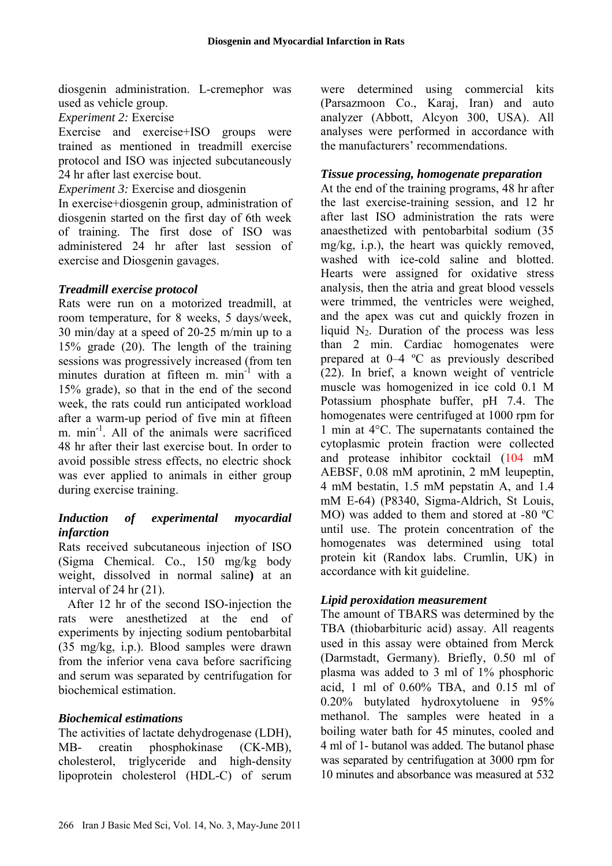diosgenin administration. L-cremephor was used as vehicle group.

*Experiment 2:* Exercise

Exercise and exercise+ISO groups were trained as mentioned in treadmill exercise protocol and ISO was injected subcutaneously 24 hr after last exercise bout.

*Experiment 3:* Exercise and diosgenin

In exercise+diosgenin group, administration of diosgenin started on the first day of 6th week of training. The first dose of ISO was administered 24 hr after last session of exercise and Diosgenin gavages.

#### *Treadmill exercise protocol*

Rats were run on a motorized treadmill, at room temperature, for 8 weeks, 5 days/week, 30 min/day at a speed of 20-25 m/min up to a 15% grade (20). The length of the training sessions was progressively increased (from ten minutes duration at fifteen m. min<sup>-1</sup> with a 15% grade), so that in the end of the second week, the rats could run anticipated workload after a warm-up period of five min at fifteen m. min<sup>-1</sup>. All of the animals were sacrificed 48 hr after their last exercise bout. In order to avoid possible stress effects, no electric shock was ever applied to animals in either group during exercise training.

## *Induction of experimental myocardial infarction*

Rats received subcutaneous injection of ISO (Sigma Chemical. Co., 150 mg/kg body weight, dissolved in normal saline**)** at an interval of 24 hr (21).

After 12 hr of the second ISO-injection the rats were anesthetized at the end of experiments by injecting sodium pentobarbital (35 mg/kg, i.p.). Blood samples were drawn from the inferior vena cava before sacrificing and serum was separated by centrifugation for biochemical estimation.

## *Biochemical estimations*

The activities of lactate dehydrogenase (LDH), MB- creatin phosphokinase (CK-MB), cholesterol, triglyceride and high-density lipoprotein cholesterol (HDL-C) of serum were determined using commercial kits (Parsazmoon Co., Karaj, Iran) and auto analyzer (Abbott, Alcyon 300, USA). All analyses were performed in accordance with the manufacturers' recommendations.

## *Tissue processing, homogenate preparation*

At the end of the training programs, 48 hr after the last exercise-training session, and 12 hr after last ISO administration the rats were anaesthetized with pentobarbital sodium (35 mg/kg, i.p.), the heart was quickly removed, washed with ice-cold saline and blotted. Hearts were assigned for oxidative stress analysis, then the atria and great blood vessels were trimmed, the ventricles were weighed, and the apex was cut and quickly frozen in liquid  $N_2$ . Duration of the process was less than 2 min. Cardiac homogenates were prepared at 0–4 ºC as previously described (22). In brief, a known weight of ventricle muscle was homogenized in ice cold 0.1 M Potassium phosphate buffer, pH 7.4. The homogenates were centrifuged at 1000 rpm for 1 min at 4°C. The supernatants contained the cytoplasmic protein fraction were collected and protease inhibitor cocktail (104 mM AEBSF, 0.08 mM aprotinin, 2 mM leupeptin, 4 mM bestatin, 1.5 mM pepstatin A, and 1.4 mM E-64) (P8340, Sigma-Aldrich, St Louis, MO) was added to them and stored at -80 ºC until use. The protein concentration of the homogenates was determined using total protein kit (Randox labs. Crumlin, UK) in accordance with kit guideline.

# *Lipid peroxidation measurement*

The amount of TBARS was determined by the TBA (thiobarbituric acid) assay. All reagents used in this assay were obtained from Merck (Darmstadt, Germany). Briefly, 0.50 ml of plasma was added to 3 ml of 1% phosphoric acid, 1 ml of 0.60% TBA, and 0.15 ml of 0.20% butylated hydroxytoluene in 95% methanol. The samples were heated in a boiling water bath for 45 minutes, cooled and 4 ml of 1- butanol was added. The butanol phase was separated by centrifugation at 3000 rpm for 10 minutes and absorbance was measured at 532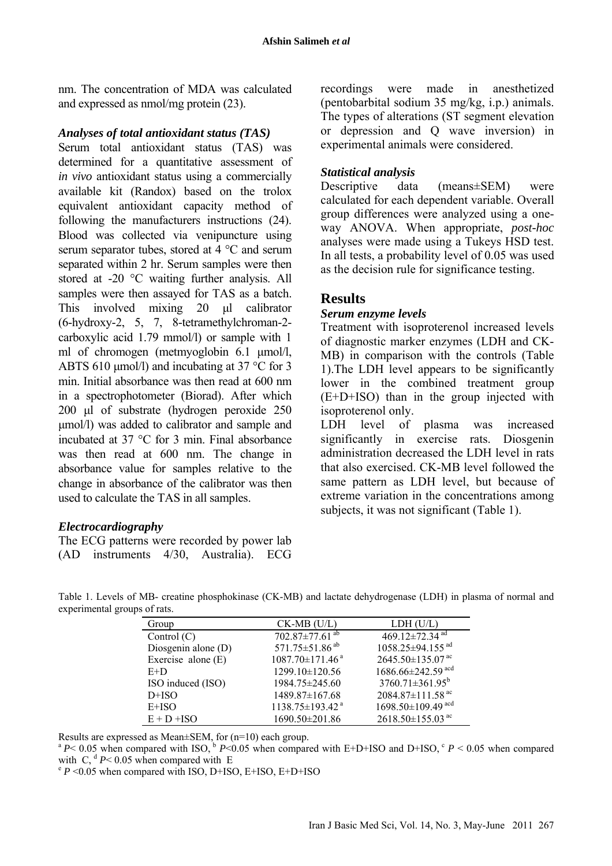nm. The concentration of MDA was calculated and expressed as nmol/mg protein (23).

#### *Analyses of total antioxidant status (TAS)*

Serum total antioxidant status (TAS) was determined for a quantitative assessment of *in vivo* antioxidant status using a commercially available kit (Randox) based on the trolox equivalent antioxidant capacity method of following the manufacturers instructions (24). Blood was collected via venipuncture using serum separator tubes, stored at 4 °C and serum separated within 2 hr. Serum samples were then stored at -20 °C waiting further analysis. All samples were then assayed for TAS as a batch. This involved mixing 20 ul calibrator (6-hydroxy-2, 5, 7, 8-tetramethylchroman-2 carboxylic acid 1.79 mmol/l) or sample with 1 ml of chromogen (metmyoglobin 6.1 µmol/l, ABTS 610  $\mu$ mol/l) and incubating at 37 °C for 3 min. Initial absorbance was then read at 600 nm in a spectrophotometer (Biorad). After which 200 µl of substrate (hydrogen peroxide 250 µmol/l) was added to calibrator and sample and incubated at 37 °C for 3 min. Final absorbance was then read at 600 nm. The change in absorbance value for samples relative to the change in absorbance of the calibrator was then used to calculate the TAS in all samples.

## *Electrocardiography*

The ECG patterns were recorded by power lab (AD instruments 4/30, Australia). ECG recordings were made in anesthetized (pentobarbital sodium 35 mg/kg, i.p.) animals. The types of alterations (ST segment elevation or depression and Q wave inversion) in experimental animals were considered.

## *Statistical analysis*

Descriptive data (means±SEM) were calculated for each dependent variable. Overall group differences were analyzed using a oneway ANOVA. When appropriate, *post-hoc* analyses were made using a Tukeys HSD test. In all tests, a probability level of 0.05 was used as the decision rule for significance testing.

# **Results**

#### *Serum enzyme levels*

Treatment with isoproterenol increased levels of diagnostic marker enzymes (LDH and CK-MB) in comparison with the controls (Table 1).The LDH level appears to be significantly lower in the combined treatment group (E+D+ISO) than in the group injected with isoproterenol only.

LDH level of plasma was increased significantly in exercise rats. Diosgenin administration decreased the LDH level in rats that also exercised. CK-MB level followed the same pattern as LDH level, but because of extreme variation in the concentrations among subjects, it was not significant (Table 1).

Table 1. Levels of MB- creatine phosphokinase (CK-MB) and lactate dehydrogenase (LDH) in plasma of normal and experimental groups of rats.

| Group                | $CK-MB$ (U/L)                     | LDH (U/L)                           |
|----------------------|-----------------------------------|-------------------------------------|
| Control $(C)$        | 702.87 $\pm$ 77.61 <sup>ab</sup>  | 469.12 $\pm$ 72.34 <sup>ad</sup>    |
| Diosgenin alone (D)  | 571.75 $\pm$ 51.86 <sup>ab</sup>  | 1058.25±94.155 <sup>ad</sup>        |
| Exercise alone $(E)$ | $1087.70 \pm 171.46$ <sup>a</sup> | 2645.50±135.07 <sup>ac</sup>        |
| $E+D$                | 1299.10±120.56                    | 1686.66±242.59 acd                  |
| ISO induced (ISO)    | 1984.75±245.60                    | $3760.71 \pm 361.95^b$              |
| $D+ISO$              | 1489.87±167.68                    | 2084.87 $\pm$ 111.58 <sup>ac</sup>  |
| $E+ISO$              | 1138.75±193.42 <sup>a</sup>       | $1698.50 \pm 109.49$ <sup>acd</sup> |
| $E + D + ISO$        | 1690.50±201.86                    | $2618.50\pm155.03$ <sup>ac</sup>    |

Results are expressed as Mean±SEM, for (n=10) each group.<br><sup>a</sup> *P*< 0.05 when compared with ISO, <sup>b</sup> *P*<0.05 when compared with E+D+ISO and D+ISO, <sup>c</sup> *P* < 0.05 when compared with C, <sup>d</sup> *P* < 0.05 when compared with E

 $\degree$  *P* < 0.05 when compared with ISO, D+ISO, E+ISO, E+D+ISO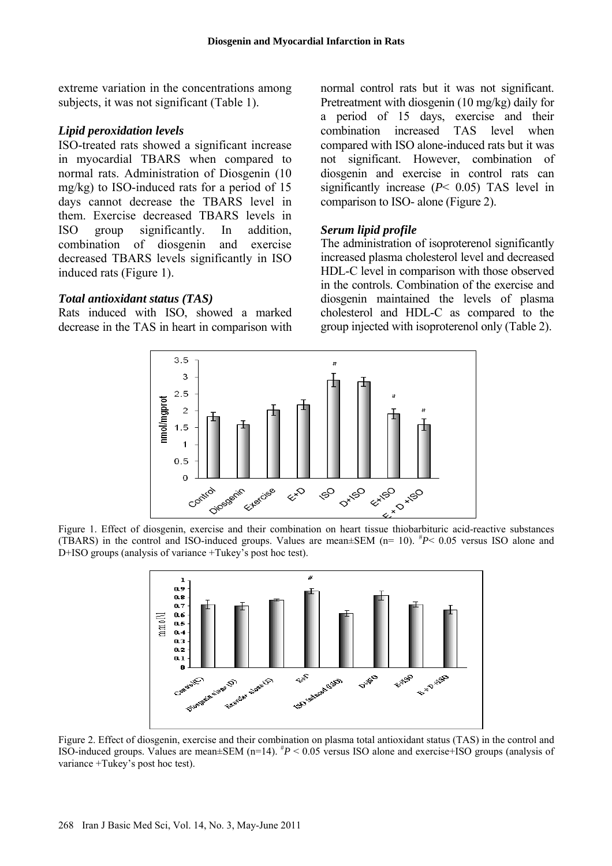extreme variation in the concentrations among subjects, it was not significant (Table 1).

#### *Lipid peroxidation levels*

ISO-treated rats showed a significant increase in myocardial TBARS when compared to normal rats. Administration of Diosgenin (10 mg/kg) to ISO-induced rats for a period of 15 days cannot decrease the TBARS level in them. Exercise decreased TBARS levels in ISO group significantly. In addition, combination of diosgenin and exercise decreased TBARS levels significantly in ISO induced rats (Figure 1).

#### *Total antioxidant status (TAS)*

Rats induced with ISO, showed a marked decrease in the TAS in heart in comparison with normal control rats but it was not significant. Pretreatment with diosgenin (10 mg/kg) daily for a period of 15 days, exercise and their combination increased TAS level when compared with ISO alone-induced rats but it was not significant. However, combination of diosgenin and exercise in control rats can significantly increase (*P*< 0.05) TAS level in comparison to ISO- alone (Figure 2).

#### *Serum lipid profile*

The administration of isoproterenol significantly increased plasma cholesterol level and decreased HDL-C level in comparison with those observed in the controls. Combination of the exercise and diosgenin maintained the levels of plasma cholesterol and HDL-C as compared to the group injected with isoproterenol only (Table 2).



Figure 1. Effect of diosgenin, exercise and their combination on heart tissue thiobarbituric acid-reactive substances (TBARS) in the control and ISO-induced groups. Values are mean±SEM (n= 10). # *P*< 0.05 versus ISO alone and D+ISO groups (analysis of variance +Tukey's post hoc test).



Figure 2. Effect of diosgenin, exercise and their combination on plasma total antioxidant status (TAS) in the control and ISO-induced groups. Values are mean±SEM (n=14). # *P* < 0.05 versus ISO alone and exercise+ISO groups (analysis of variance +Tukey's post hoc test).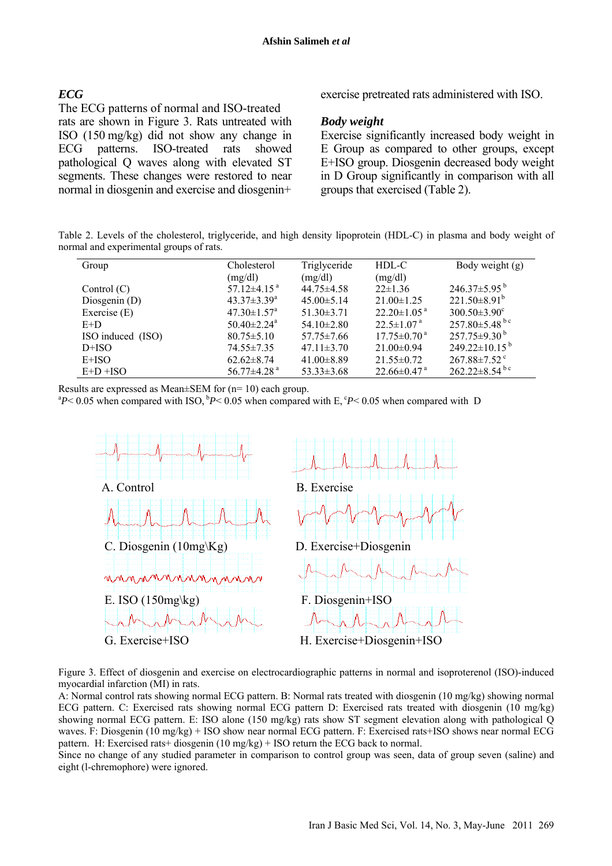#### *ECG*

# The ECG patterns of normal and ISO-treated

rats are shown in Figure 3. Rats untreated with ISO (150 mg/kg) did not show any change in ECG patterns. ISO-treated rats showed pathological Q waves along with elevated ST segments. These changes were restored to near normal in diosgenin and exercise and diosgenin+

exercise pretreated rats administered with ISO.

#### *Body weight*

Exercise significantly increased body weight in E Group as compared to other groups, except E+ISO group. Diosgenin decreased body weight in D Group significantly in comparison with all groups that exercised (Table 2).

Table 2. Levels of the cholesterol, triglyceride, and high density lipoprotein (HDL-C) in plasma and body weight of normal and experimental groups of rats.

| Group             | Cholesterol<br>(mg/dl)        | Triglyceride<br>(mg/dl) | HDL-C<br>(mg/dl)              | Body weight (g)                 |
|-------------------|-------------------------------|-------------------------|-------------------------------|---------------------------------|
| Control $(C)$     | $57.12\pm4.15$ <sup>a</sup>   | $44.75 \pm 4.58$        | $22 \pm 1.36$                 | $246.37\pm5.95^{b}$             |
| Diosgenin $(D)$   | $43.37 \pm 3.39^a$            | $45.00 \pm 5.14$        | $21.00 \pm 1.25$              | $221.50\pm8.91^b$               |
| Exercise $(E)$    | $47.30 \pm 1.57$ <sup>a</sup> | $51.30 \pm 3.71$        | $22.20 \pm 1.05$ <sup>a</sup> | $300.50 \pm 3.90^{\circ}$       |
| $E+D$             | $50.40 \pm 2.24$ <sup>a</sup> | $54.10 \pm 2.80$        | $22.5 \pm 1.07$ <sup>a</sup>  | $257.80 \pm 5.48$ <sup>bc</sup> |
| ISO induced (ISO) | $80.75 \pm 5.10$              | $57.75 \pm 7.66$        | $17.75 \pm 0.70$ <sup>a</sup> | $257.75\pm9.30^{b}$             |
| $D+ISO$           | 74.55 ± 7.35                  | $47.11 \pm 3.70$        | $21.00 \pm 0.94$              | $249.22 \pm 10.15^{b}$          |
| $E+ISO$           | $62.62 \pm 8.74$              | $41.00 \pm 8.89$        | $21.55 \pm 0.72$              | $267.88 \pm 7.52$ <sup>c</sup>  |
| $E+D+ISO$         | $56.77 \pm 4.28$ <sup>a</sup> | $53.33 \pm 3.68$        | $22.66 \pm 0.47$ <sup>a</sup> | $262.22 \pm 8.54$ <sup>bc</sup> |

Results are expressed as Mean±SEM for (n= 10) each group.

 ${}^{a}P$  < 0.05 when compared with ISO,  ${}^{b}P$  < 0.05 when compared with E,  ${}^{c}P$  < 0.05 when compared with D



Figure 3. Effect of diosgenin and exercise on electrocardiographic patterns in normal and isoproterenol (ISO)-induced myocardial infarction (MI) in rats.

A: Normal control rats showing normal ECG pattern. B: Normal rats treated with diosgenin (10 mg/kg) showing normal ECG pattern. C: Exercised rats showing normal ECG pattern D: Exercised rats treated with diosgenin (10 mg/kg) showing normal ECG pattern. E: ISO alone (150 mg/kg) rats show ST segment elevation along with pathological Q waves. F: Diosgenin (10 mg/kg) + ISO show near normal ECG pattern. F: Exercised rats+ISO shows near normal ECG pattern. H: Exercised rats+ diosgenin (10 mg/kg) + ISO return the ECG back to normal.

Since no change of any studied parameter in comparison to control group was seen, data of group seven (saline) and eight (l-chremophore) were ignored.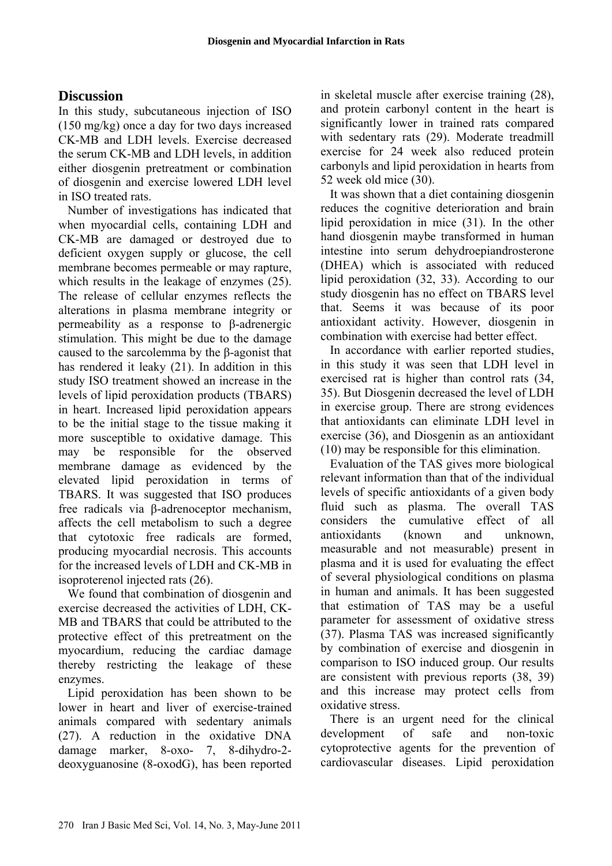# **Discussion**

In this study, subcutaneous injection of ISO (150 mg/kg) once a day for two days increased CK-MB and LDH levels. Exercise decreased the serum CK-MB and LDH levels, in addition either diosgenin pretreatment or combination of diosgenin and exercise lowered LDH level in ISO treated rats.

Number of investigations has indicated that when myocardial cells, containing LDH and CK-MB are damaged or destroyed due to deficient oxygen supply or glucose, the cell membrane becomes permeable or may rapture, which results in the leakage of enzymes (25). The release of cellular enzymes reflects the alterations in plasma membrane integrity or permeability as a response to β-adrenergic stimulation. This might be due to the damage caused to the sarcolemma by the β-agonist that has rendered it leaky (21). In addition in this study ISO treatment showed an increase in the levels of lipid peroxidation products (TBARS) in heart. Increased lipid peroxidation appears to be the initial stage to the tissue making it more susceptible to oxidative damage. This may be responsible for the observed membrane damage as evidenced by the elevated lipid peroxidation in terms of TBARS. It was suggested that ISO produces free radicals via β-adrenoceptor mechanism, affects the cell metabolism to such a degree that cytotoxic free radicals are formed, producing myocardial necrosis. This accounts for the increased levels of LDH and CK-MB in isoproterenol injected rats (26).

We found that combination of diosgenin and exercise decreased the activities of LDH, CK-MB and TBARS that could be attributed to the protective effect of this pretreatment on the myocardium, reducing the cardiac damage thereby restricting the leakage of these enzymes.

Lipid peroxidation has been shown to be lower in heart and liver of exercise-trained animals compared with sedentary animals (27). A reduction in the oxidative DNA damage marker, 8-oxo- 7, 8-dihydro-2 deoxyguanosine (8-oxodG), has been reported in skeletal muscle after exercise training (28), and protein carbonyl content in the heart is significantly lower in trained rats compared with sedentary rats (29). Moderate treadmill exercise for 24 week also reduced protein carbonyls and lipid peroxidation in hearts from 52 week old mice (30).

It was shown that a diet containing diosgenin reduces the cognitive deterioration and brain lipid peroxidation in mice (31). In the other hand diosgenin maybe transformed in human intestine into serum dehydroepiandrosterone (DHEA) which is associated with reduced lipid peroxidation (32, 33). According to our study diosgenin has no effect on TBARS level that. Seems it was because of its poor antioxidant activity. However, diosgenin in combination with exercise had better effect.

In accordance with earlier reported studies, in this study it was seen that LDH level in exercised rat is higher than control rats (34, 35). But Diosgenin decreased the level of LDH in exercise group. There are strong evidences that antioxidants can eliminate LDH level in exercise (36), and Diosgenin as an antioxidant (10) may be responsible for this elimination.

Evaluation of the TAS gives more biological relevant information than that of the individual levels of specific antioxidants of a given body fluid such as plasma. The overall TAS considers the cumulative effect of all antioxidants (known and unknown, measurable and not measurable) present in plasma and it is used for evaluating the effect of several physiological conditions on plasma in human and animals. It has been suggested that estimation of TAS may be a useful parameter for assessment of oxidative stress (37). Plasma TAS was increased significantly by combination of exercise and diosgenin in comparison to ISO induced group. Our results are consistent with previous reports (38, 39) and this increase may protect cells from oxidative stress.

There is an urgent need for the clinical development of safe and non-toxic cytoprotective agents for the prevention of cardiovascular diseases. Lipid peroxidation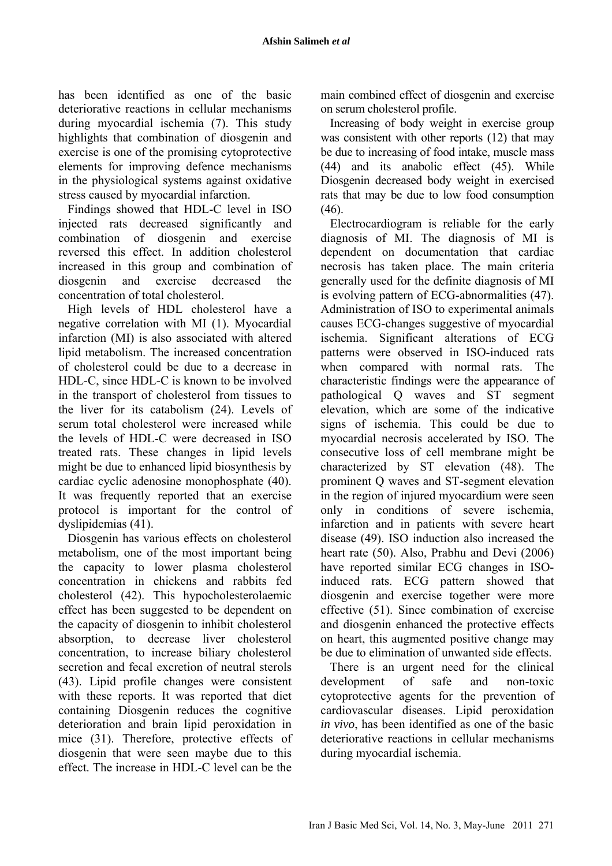has been identified as one of the basic deteriorative reactions in cellular mechanisms during myocardial ischemia (7). This study highlights that combination of diosgenin and exercise is one of the promising cytoprotective elements for improving defence mechanisms in the physiological systems against oxidative stress caused by myocardial infarction.

Findings showed that HDL-C level in ISO injected rats decreased significantly and combination of diosgenin and exercise reversed this effect. In addition cholesterol increased in this group and combination of diosgenin and exercise decreased the concentration of total cholesterol.

High levels of HDL cholesterol have a negative correlation with MI (1). Myocardial infarction (MI) is also associated with altered lipid metabolism. The increased concentration of cholesterol could be due to a decrease in HDL-C, since HDL-C is known to be involved in the transport of cholesterol from tissues to the liver for its catabolism (24). Levels of serum total cholesterol were increased while the levels of HDL-C were decreased in ISO treated rats. These changes in lipid levels might be due to enhanced lipid biosynthesis by cardiac cyclic adenosine monophosphate (40). It was frequently reported that an exercise protocol is important for the control of dyslipidemias (41).

Diosgenin has various effects on cholesterol metabolism, one of the most important being the capacity to lower plasma cholesterol concentration in chickens and rabbits fed cholesterol (42). This hypocholesterolaemic effect has been suggested to be dependent on the capacity of diosgenin to inhibit cholesterol absorption, to decrease liver cholesterol concentration, to increase biliary cholesterol secretion and fecal excretion of neutral sterols (43). Lipid profile changes were consistent with these reports. It was reported that diet containing Diosgenin reduces the cognitive deterioration and brain lipid peroxidation in mice (31). Therefore, protective effects of diosgenin that were seen maybe due to this effect. The increase in HDL-C level can be the main combined effect of diosgenin and exercise on serum cholesterol profile.

Increasing of body weight in exercise group was consistent with other reports (12) that may be due to increasing of food intake, muscle mass (44) and its anabolic effect (45). While Diosgenin decreased body weight in exercised rats that may be due to low food consumption (46).

Electrocardiogram is reliable for the early diagnosis of MI. The diagnosis of MI is dependent on documentation that cardiac necrosis has taken place. The main criteria generally used for the definite diagnosis of MI is evolving pattern of ECG-abnormalities (47). Administration of ISO to experimental animals causes ECG-changes suggestive of myocardial ischemia. Significant alterations of ECG patterns were observed in ISO-induced rats when compared with normal rats. The characteristic findings were the appearance of pathological Q waves and ST segment elevation, which are some of the indicative signs of ischemia. This could be due to myocardial necrosis accelerated by ISO. The consecutive loss of cell membrane might be characterized by ST elevation (48). The prominent Q waves and ST-segment elevation in the region of injured myocardium were seen only in conditions of severe ischemia, infarction and in patients with severe heart disease (49). ISO induction also increased the heart rate (50). Also, Prabhu and Devi (2006) have reported similar ECG changes in ISOinduced rats. ECG pattern showed that diosgenin and exercise together were more effective (51). Since combination of exercise and diosgenin enhanced the protective effects on heart, this augmented positive change may be due to elimination of unwanted side effects.

There is an urgent need for the clinical development of safe and non-toxic cytoprotective agents for the prevention of cardiovascular diseases. Lipid peroxidation *in vivo*, has been identified as one of the basic deteriorative reactions in cellular mechanisms during myocardial ischemia.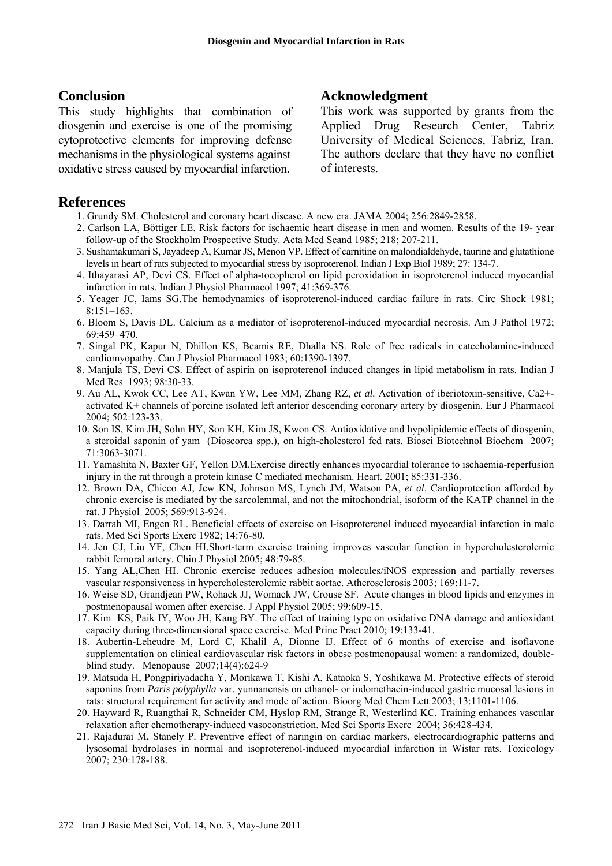## **Conclusion**

This study highlights that combination of diosgenin and exercise is one of the promising cytoprotective elements for improving defense mechanisms in the physiological systems against oxidative stress caused by myocardial infarction.

## **References**

- 1. Grundy SM. Cholesterol and coronary heart disease. A new era. JAMA 2004; 256:2849-2858.
- 2. Carlson LA, Böttiger LE. Risk factors for ischaemic heart disease in men and women. Results of the 19- year follow-up of the Stockholm Prospective Study. Acta Med Scand 1985; 218; 207-211.
- 3. Sushamakumari S, Jayadeep A, Kumar JS, Menon VP. Effect of carnitine on malondialdehyde, taurine and glutathione levels in heart of rats subjected to myocardial stress by isoproterenol. Indian J Exp Biol 1989; 27: 134-7.
- 4. Ithayarasi AP, Devi CS. Effect of alpha-tocopherol on lipid peroxidation in isoproterenol induced myocardial infarction in rats. Indian J Physiol Pharmacol 1997; 41:369-376.
- 5. Yeager JC, Iams SG.The hemodynamics of isoproterenol-induced cardiac failure in rats. Circ Shock 1981; 8:151–163.
- 6. Bloom S, Davis DL. Calcium as a mediator of isoproterenol-induced myocardial necrosis. Am J Pathol 1972; 69:459–470.
- 7. Singal PK, Kapur N, Dhillon KS, Beamis RE, Dhalla NS. Role of free radicals in catecholamine-induced cardiomyopathy. Can J Physiol Pharmacol 1983; 60:1390-1397.
- 8. Manjula TS, Devi CS. Effect of aspirin on isoproterenol induced changes in lipid metabolism in rats. Indian J Med Res 1993; 98:30-33.
- 9. Au AL, Kwok CC, Lee AT, Kwan YW, Lee MM, Zhang RZ, *et al.* Activation of iberiotoxin-sensitive, Ca2+ activated K+ channels of porcine isolated left anterior descending coronary artery by diosgenin. Eur J Pharmacol 2004; 502:123-33.
- 10. Son IS, Kim JH, Sohn HY, Son KH, Kim JS, Kwon CS. Antioxidative and hypolipidemic effects of diosgenin, a steroidal saponin of yam (Dioscorea spp.), on high-cholesterol fed rats. Biosci Biotechnol Biochem 2007; 71:3063-3071.
- 11. Yamashita N, Baxter GF, Yellon DM.Exercise directly enhances myocardial tolerance to ischaemia-reperfusion injury in the rat through a protein kinase C mediated mechanism. Heart. 2001; 85:331-336.
- 12. Brown DA, Chicco AJ, Jew KN, Johnson MS, Lynch JM, Watson PA, *et al*. Cardioprotection afforded by chronic exercise is mediated by the sarcolemmal, and not the mitochondrial, isoform of the KATP channel in the rat. J Physiol 2005; 569:913-924.
- 13. Darrah MI, Engen RL. Beneficial effects of exercise on l-isoproterenol induced myocardial infarction in male rats. Med Sci Sports Exerc 1982; 14:76-80.
- 14. Jen CJ, Liu YF, Chen HI.Short-term exercise training improves vascular function in hypercholesterolemic rabbit femoral artery. Chin J Physiol 2005; 48:79-85.
- 15. Yang AL,Chen HI. Chronic exercise reduces adhesion molecules/iNOS expression and partially reverses vascular responsiveness in hypercholesterolemic rabbit aortae. Atherosclerosis 2003; 169:11-7.
- 16. Weise SD, Grandjean PW, Rohack JJ, Womack JW, Crouse SF. Acute changes in blood lipids and enzymes in postmenopausal women after exercise. J Appl Physiol 2005; 99:609-15.
- 17. Kim KS, Paik IY, Woo JH, Kang BY. The effect of training type on oxidative DNA damage and antioxidant capacity during three-dimensional space exercise. Med Princ Pract 2010; 19:133-41.
- 18. Aubertin-Leheudre M, Lord C, Khalil A, Dionne IJ. Effect of 6 months of exercise and isoflavone supplementation on clinical cardiovascular risk factors in obese postmenopausal women: a randomized, doubleblind study. Menopause 2007;14(4):624-9
- 19. Matsuda H, Pongpiriyadacha Y, Morikawa T, Kishi A, Kataoka S, Yoshikawa M. Protective effects of steroid saponins from *Paris polyphylla* var. yunnanensis on ethanol- or indomethacin-induced gastric mucosal lesions in rats: structural requirement for activity and mode of action. Bioorg Med Chem Lett 2003; 13:1101-1106.
- 20. Hayward R, Ruangthai R, Schneider CM, Hyslop RM, Strange R, Westerlind KC. Training enhances vascular relaxation after chemotherapy-induced vasoconstriction. Med Sci Sports Exerc 2004; 36:428-434.
- 21. Rajadurai M, Stanely P. Preventive effect of naringin on cardiac markers, electrocardiographic patterns and lysosomal hydrolases in normal and isoproterenol-induced myocardial infarction in Wistar rats. Toxicology 2007; 230:178-188.

## **Acknowledgment**

This work was supported by grants from the Applied Drug Research Center, Tabriz University of Medical Sciences, Tabriz, Iran. The authors declare that they have no conflict of interests.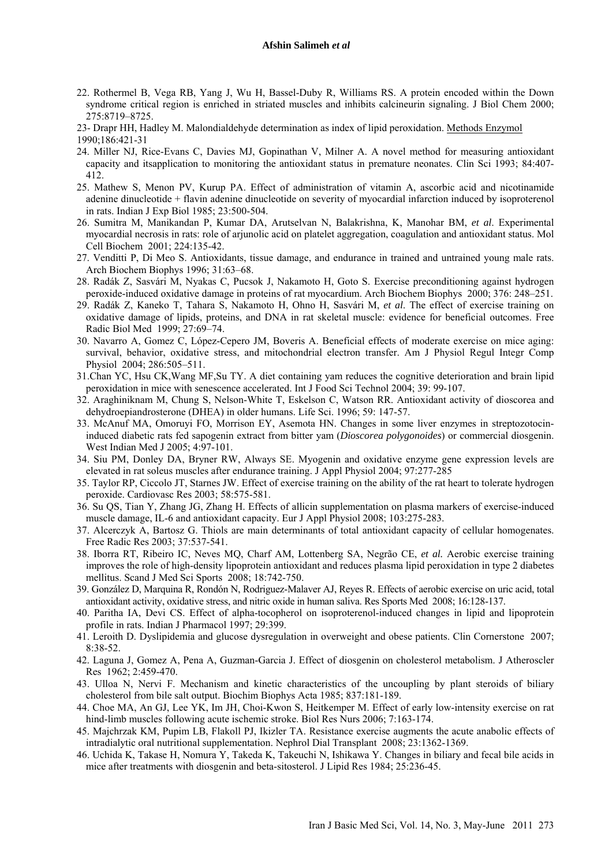- 22. Rothermel B, Vega RB, Yang J, Wu H, Bassel-Duby R, Williams RS. A protein encoded within the Down syndrome critical region is enriched in striated muscles and inhibits calcineurin signaling. J Biol Chem 2000; 275:8719–8725.
- 23- Drapr HH, Hadley M. Malondialdehyde determination as index of lipid peroxidation. Methods Enzymol 1990;186:421-31
- 24. Miller NJ, Rice-Evans C, Davies MJ, Gopinathan V, Milner A. A novel method for measuring antioxidant capacity and itsapplication to monitoring the antioxidant status in premature neonates. Clin Sci 1993; 84:407- 412.
- 25. Mathew S, Menon PV, Kurup PA. Effect of administration of vitamin A, ascorbic acid and nicotinamide adenine dinucleotide + flavin adenine dinucleotide on severity of myocardial infarction induced by isoproterenol in rats. Indian J Exp Biol 1985; 23:500-504.
- 26. Sumitra M, Manikandan P, Kumar DA, Arutselvan N, Balakrishna, K, Manohar BM, *et al*. Experimental myocardial necrosis in rats: role of arjunolic acid on platelet aggregation, coagulation and antioxidant status. Mol Cell Biochem 2001; 224:135-42.
- 27. Venditti P, Di Meo S. Antioxidants, tissue damage, and endurance in trained and untrained young male rats. Arch Biochem Biophys 1996; 31:63–68.
- 28. Radák Z, Sasvári M, Nyakas C, Pucsok J, Nakamoto H, Goto S. Exercise preconditioning against hydrogen peroxide-induced oxidative damage in proteins of rat myocardium. Arch Biochem Biophys 2000; 376: 248–251.
- 29. Radák Z, Kaneko T, Tahara S, Nakamoto H, Ohno H, Sasvári M, *et al*. The effect of exercise training on oxidative damage of lipids, proteins, and DNA in rat skeletal muscle: evidence for beneficial outcomes. Free Radic Biol Med 1999; 27:69–74.
- 30. Navarro A, Gomez C, López-Cepero JM, Boveris A. Beneficial effects of moderate exercise on mice aging: survival, behavior, oxidative stress, and mitochondrial electron transfer. Am J Physiol Regul Integr Comp Physiol 2004; 286:505–511.
- 31.Chan YC, Hsu CK,Wang MF,Su TY. A diet containing yam reduces the cognitive deterioration and brain lipid peroxidation in mice with senescence accelerated. Int J Food Sci Technol 2004; 39: 99-107.
- 32. Araghiniknam M, Chung S, Nelson-White T, Eskelson C, Watson RR. Antioxidant activity of dioscorea and dehydroepiandrosterone (DHEA) in older humans. Life Sci. 1996; 59: 147-57.
- 33. McAnuf MA, Omoruyi FO, Morrison EY, Asemota HN. Changes in some liver enzymes in streptozotocininduced diabetic rats fed sapogenin extract from bitter yam (*Dioscorea polygonoides*) or commercial diosgenin. West Indian Med J 2005; 4:97-101.
- 34. Siu PM, Donley DA, Bryner RW, Always SE. Myogenin and oxidative enzyme gene expression levels are elevated in rat soleus muscles after endurance training. J Appl Physiol 2004; 97:277-285
- 35. Taylor RP, Ciccolo JT, Starnes JW. Effect of exercise training on the ability of the rat heart to tolerate hydrogen peroxide. Cardiovasc Res 2003; 58:575-581.
- 36. Su QS, Tian Y, Zhang JG, Zhang H. Effects of allicin supplementation on plasma markers of exercise-induced muscle damage, IL-6 and antioxidant capacity. Eur J Appl Physiol 2008; 103:275-283.
- 37. Alcerczyk A, Bartosz G. Thiols are main determinants of total antioxidant capacity of cellular homogenates. Free Radic Res 2003; 37:537-541.
- 38. Iborra RT, Ribeiro IC, Neves MQ, Charf AM, Lottenberg SA, Negrão CE, *et al.* Aerobic exercise training improves the role of high-density lipoprotein antioxidant and reduces plasma lipid peroxidation in type 2 diabetes mellitus. Scand J Med Sci Sports 2008; 18:742-750.
- 39. González D, Marquina R, Rondón N, Rodriguez-Malaver AJ, Reyes R. Effects of aerobic exercise on uric acid, total antioxidant activity, oxidative stress, and nitric oxide in human saliva. Res Sports Med 2008; 16:128-137.
- 40. Paritha IA, Devi CS. Effect of alpha-tocopherol on isoproterenol-induced changes in lipid and lipoprotein profile in rats. Indian J Pharmacol 1997; 29:399.
- 41. Leroith D. Dyslipidemia and glucose dysregulation in overweight and obese patients. Clin Cornerstone 2007; 8:38-52.
- 42. Laguna J, Gomez A, Pena A, Guzman-Garcia J. Effect of diosgenin on cholesterol metabolism. J Atheroscler Res 1962; 2:459-470.
- 43. Ulloa N, Nervi F. Mechanism and kinetic characteristics of the uncoupling by plant steroids of biliary cholesterol from bile salt output. Biochim Biophys Acta 1985; 837:181-189.
- 44. Choe MA, An GJ, Lee YK, Im JH, Choi-Kwon S, Heitkemper M. Effect of early low-intensity exercise on rat hind-limb muscles following acute ischemic stroke. Biol Res Nurs 2006; 7:163-174.
- 45. Majchrzak KM, Pupim LB, Flakoll PJ, Ikizler TA. Resistance exercise augments the acute anabolic effects of intradialytic oral nutritional supplementation. Nephrol Dial Transplant 2008; 23:1362-1369.
- 46. Uchida K, Takase H, Nomura Y, Takeda K, Takeuchi N, Ishikawa Y. Changes in biliary and fecal bile acids in mice after treatments with diosgenin and beta-sitosterol. J Lipid Res 1984; 25:236-45.